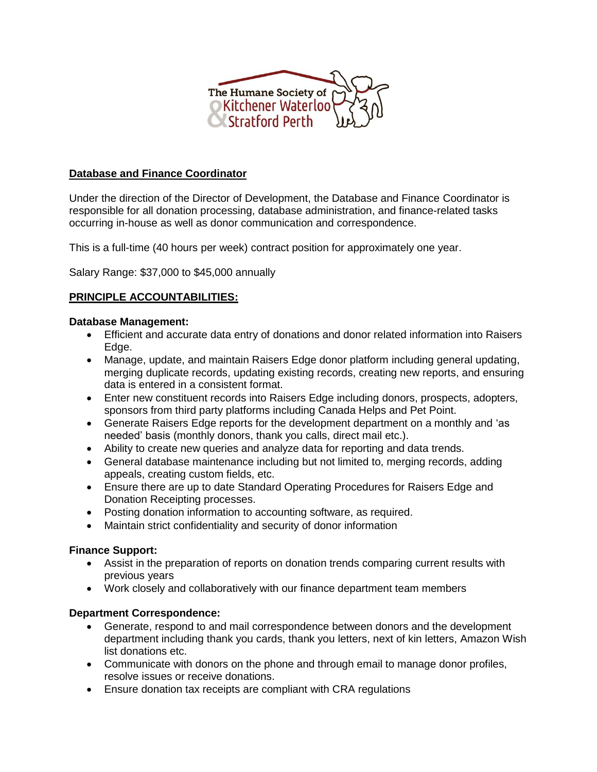

# **Database and Finance Coordinator**

Under the direction of the Director of Development, the Database and Finance Coordinator is responsible for all donation processing, database administration, and finance-related tasks occurring in-house as well as donor communication and correspondence.

This is a full-time (40 hours per week) contract position for approximately one year.

Salary Range: \$37,000 to \$45,000 annually

# **PRINCIPLE ACCOUNTABILITIES:**

#### **Database Management:**

- Efficient and accurate data entry of donations and donor related information into Raisers Edge.
- Manage, update, and maintain Raisers Edge donor platform including general updating, merging duplicate records, updating existing records, creating new reports, and ensuring data is entered in a consistent format.
- Enter new constituent records into Raisers Edge including donors, prospects, adopters, sponsors from third party platforms including Canada Helps and Pet Point.
- Generate Raisers Edge reports for the development department on a monthly and 'as needed' basis (monthly donors, thank you calls, direct mail etc.).
- Ability to create new queries and analyze data for reporting and data trends.
- General database maintenance including but not limited to, merging records, adding appeals, creating custom fields, etc.
- Ensure there are up to date Standard Operating Procedures for Raisers Edge and Donation Receipting processes.
- Posting donation information to accounting software, as required.
- Maintain strict confidentiality and security of donor information

### **Finance Support:**

- Assist in the preparation of reports on donation trends comparing current results with previous years
- Work closely and collaboratively with our finance department team members

### **Department Correspondence:**

- Generate, respond to and mail correspondence between donors and the development department including thank you cards, thank you letters, next of kin letters, Amazon Wish list donations etc.
- Communicate with donors on the phone and through email to manage donor profiles, resolve issues or receive donations.
- Ensure donation tax receipts are compliant with CRA regulations